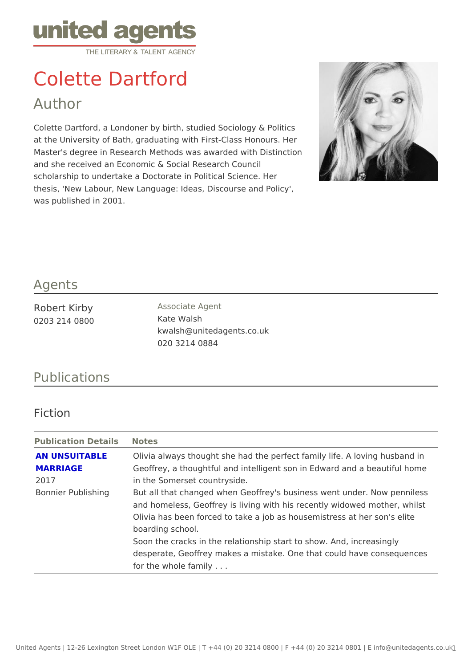## Colette Dartford

Author

Colette Dartford, a Londoner by birth, studied Sociology & Politics at the University of Bath, graduating with First-Class Honours. Her Master's degree in Research Methods was awarded with Distinction and she received an Economic & Social Research Council scholarship to undertake a Doctorate in Political Science. Her thesis, 'New Labour, New Language: Ideas, Discourse and Policy', was published in 2001.

## Agents

| Robert Kirby  | Associate Agent           |
|---------------|---------------------------|
| 0203 214 0800 | Kate Walsh                |
|               | kwalsh@unitedagents.co.uk |
|               | 020 3214 0884             |

## Publications

Fiction

Publication DetailSotes

|          | AN UNSUITABLE Olivia always thought she had the perfect family life. A lovi |
|----------|-----------------------------------------------------------------------------|
| MARRIAGE | Geoffrey, a thoughtful and intelligent son in Edward and a t                |
| 2017     | in the Somerset countryside.                                                |
|          | Bonnier Publishingut all that changed when Geoffrey's business went under.  |
|          | and homeless, Geoffrey is living with his recently widowed                  |
|          | Olivia has been forced to take a job as housemistress at he                 |
|          | boarding school.                                                            |
|          | Soon the cracks in the relationship start to show. And, incr                |
|          | desperate, Geoffrey makes a mistake. One that could have                    |
|          | for the whole family                                                        |